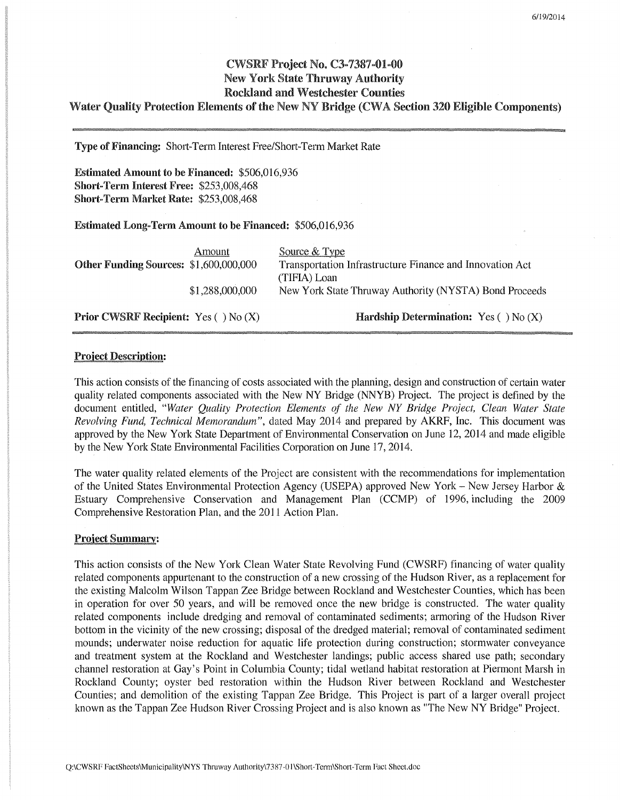# CWSRF Project No. C3-7387-01-00 New York State Thruway Authority Rockland and Westchester Counties

# Water Quality Protection Elements of the New NY Bridge (CWA Section 320 Eligible Components)

Type of Financing: Short-Term Interest Free/Short-Term Market Rate

Estimated Amount to be Financed: \$506,016,936 Short-Term Interest Free: \$253,008,468 Short-Term Market Rate: \$253,008,468

Estimated Long-Term Amount to be Financed: \$506,016,936

| Other Funding Sources: \$1,600,000,000 | Amount          | Source & Type<br>Transportation Infrastructure Finance and Innovation Act<br>(TIFIA) Loan |
|----------------------------------------|-----------------|-------------------------------------------------------------------------------------------|
|                                        | \$1,288,000,000 | New York State Thruway Authority (NYSTA) Bond Proceeds                                    |

Prior CWSRF Recipient: Yes ( ) No (X)

Hardship Determination: Yes ( $\big)$  No  $(X)$ 

# Project Description:

This action consists of the financing of costs associated with the planning, design and construction of certain water quality related components associated with the New NY Bridge (NNYB) Project. The project is defined by the document entitled, *"Water Quality Protection Elements of the New NY Bridge Project, Clean Water State Revolving Fund, Technical Memorandum",* dated May 2014 and prepared by AKRF, Inc. This document was approved by the New York State Department of Environmental Conservation on June 12, 2014 and made eligible by the New York State Environmental Facilities Corporation on June 17, 2014.

The water quality related elements of the Project are consistent with the recommendations for implementation of the United States Environmental Protection Agency (USEPA) approved New York - New Jersey Harbor & Estuary Comprehensive Conservation and Management Plan (CCMP) of 1996, including the 2009 Comprehensive Restoration Plan, and the 2011 Action Plan.

### Project Summary:

This action consists of the New York Clean Water State Revolving Fund (CWSRF) financing of water quality related components appurtenant to the construction of a new crossing of the Hudson River, as a replacement for the existing Malcolm Wilson Tappan Zee Bridge between Rockland and Westchester Counties, which has been in operation for over 50 years, and will be removed once the new bridge is constructed. The water quality related components include dredging and removal of contaminated sediments; armoring of the Hudson River bottom in the vicinity of the new crossing; disposal of the dredged material; removal of contaminated sediment mounds; underwater noise reduction for aquatic life protection during construction; stormwater conveyance and treatment system at the Rockland and Westchester landings; public access shared use path; secondary channel restoration at Gay's Point in Columbia County; tidal wetland habitat restoration at Piermont Marsh in Rockland County; oyster bed restoration within the Hudson River between Rockland and Westchester Counties; and demolition of the existing Tappan Zee Bridge. This Project is part of a larger overall project known as the Tappan Zee Hudson River Crossing Project and is also known as "The New NY Bridge" Project.